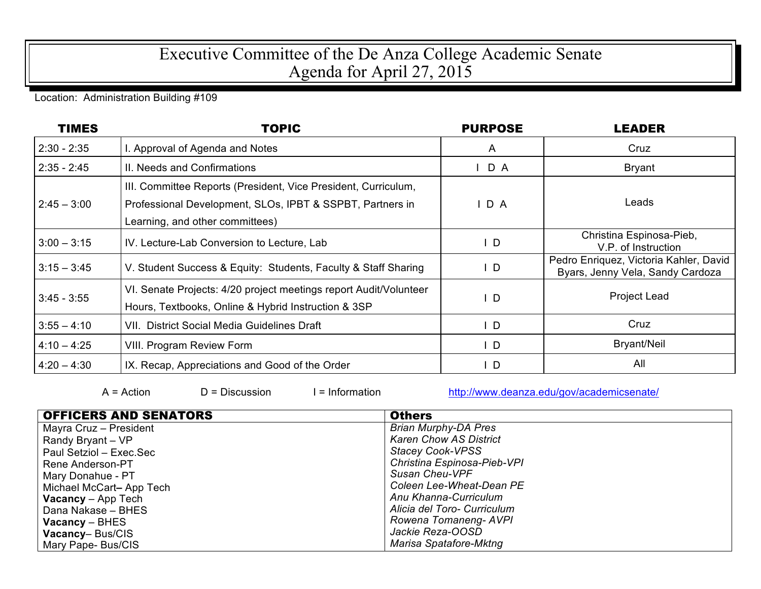## Executive Committee of the De Anza College Academic Senate Agenda for April 27, 2015

## Location: Administration Building #109

| <b>TIMES</b>  | <b>TOPIC</b>                                                                                                                                                   | <b>PURPOSE</b> | <b>LEADER</b>                                                              |
|---------------|----------------------------------------------------------------------------------------------------------------------------------------------------------------|----------------|----------------------------------------------------------------------------|
| $2:30 - 2:35$ | I. Approval of Agenda and Notes                                                                                                                                | A              | Cruz                                                                       |
| $2:35 - 2:45$ | II. Needs and Confirmations                                                                                                                                    | D A            | <b>Bryant</b>                                                              |
| $2:45 - 3:00$ | III. Committee Reports (President, Vice President, Curriculum,<br>Professional Development, SLOs, IPBT & SSPBT, Partners in<br>Learning, and other committees) | D A            | Leads                                                                      |
| $3:00 - 3:15$ | IV. Lecture-Lab Conversion to Lecture, Lab                                                                                                                     | $\mathsf{I}$   | Christina Espinosa-Pieb,<br>V.P. of Instruction                            |
| $3:15 - 3:45$ | V. Student Success & Equity: Students, Faculty & Staff Sharing                                                                                                 | $\mathsf{L}$   | Pedro Enriquez, Victoria Kahler, David<br>Byars, Jenny Vela, Sandy Cardoza |
| $3:45 - 3:55$ | VI. Senate Projects: 4/20 project meetings report Audit/Volunteer<br>Hours, Textbooks, Online & Hybrid Instruction & 3SP                                       | ID             | <b>Project Lead</b>                                                        |
| $3:55 - 4:10$ | VII. District Social Media Guidelines Draft                                                                                                                    | $\mathsf{L}$   | Cruz                                                                       |
| $4:10 - 4:25$ | VIII. Program Review Form                                                                                                                                      | $\mathsf{L}$   | <b>Bryant/Neil</b>                                                         |
| $4:20 - 4:30$ | IX. Recap, Appreciations and Good of the Order                                                                                                                 | ID             | All                                                                        |

 $A = Action$   $D = Discussion$   $I = Information$  http://www.deanza.edu/gov/academicsenate/

| <b>OFFICERS AND SENATORS</b> | <b>Others</b>                 |  |  |
|------------------------------|-------------------------------|--|--|
| Mayra Cruz - President       | <b>Brian Murphy-DA Pres</b>   |  |  |
| Randy Bryant - VP            | <b>Karen Chow AS District</b> |  |  |
| Paul Setziol - Exec.Sec      | <b>Stacey Cook-VPSS</b>       |  |  |
| Rene Anderson-PT             | Christina Espinosa-Pieb-VPI   |  |  |
| Mary Donahue - PT            | Susan Cheu-VPF                |  |  |
| Michael McCart-App Tech      | Coleen Lee-Wheat-Dean PE      |  |  |
| <b>Vacancy</b> $-$ App Tech  | Anu Khanna-Curriculum         |  |  |
| Dana Nakase - BHES           | Alicia del Toro- Curriculum   |  |  |
| $Vacancy - BHES$             | Rowena Tomaneng-AVPI          |  |  |
| Vacancy-Bus/CIS              | Jackie Reza-OOSD              |  |  |
| Mary Pape-Bus/CIS            | Marisa Spatafore-Mktng        |  |  |